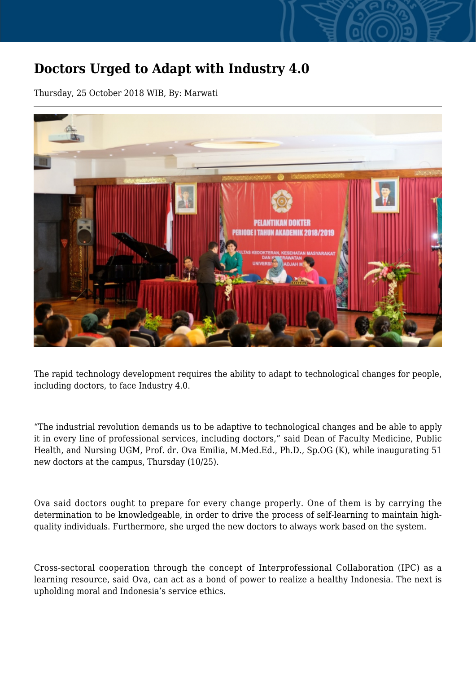## **Doctors Urged to Adapt with Industry 4.0**

Thursday, 25 October 2018 WIB, By: Marwati



The rapid technology development requires the ability to adapt to technological changes for people, including doctors, to face Industry 4.0.

"The industrial revolution demands us to be adaptive to technological changes and be able to apply it in every line of professional services, including doctors," said Dean of Faculty Medicine, Public Health, and Nursing UGM, Prof. dr. Ova Emilia, M.Med.Ed., Ph.D., Sp.OG (K), while inaugurating 51 new doctors at the campus, Thursday (10/25).

Ova said doctors ought to prepare for every change properly. One of them is by carrying the determination to be knowledgeable, in order to drive the process of self-learning to maintain highquality individuals. Furthermore, she urged the new doctors to always work based on the system.

Cross-sectoral cooperation through the concept of Interprofessional Collaboration (IPC) as a learning resource, said Ova, can act as a bond of power to realize a healthy Indonesia. The next is upholding moral and Indonesia's service ethics.